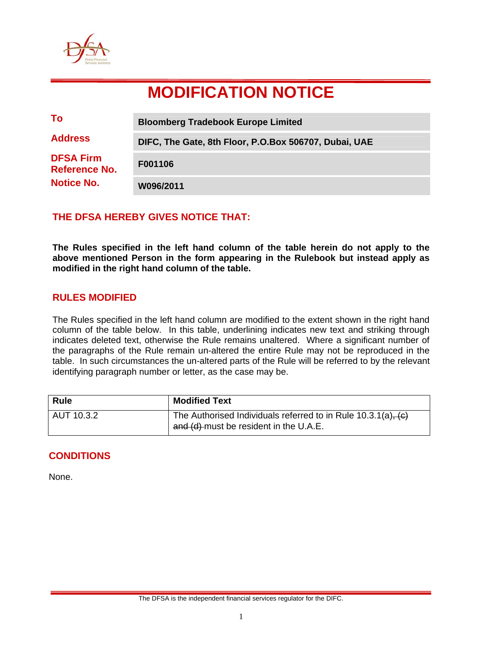

# **MODIFICATION NOTICE**

| To                                                     | <b>Bloomberg Tradebook Europe Limited</b>             |
|--------------------------------------------------------|-------------------------------------------------------|
| <b>Address</b>                                         | DIFC, The Gate, 8th Floor, P.O.Box 506707, Dubai, UAE |
| <b>DFSA Firm</b><br>Reference No.<br><b>Notice No.</b> | F001106                                               |
|                                                        | W096/2011                                             |

## **THE DFSA HEREBY GIVES NOTICE THAT:**

**The Rules specified in the left hand column of the table herein do not apply to the above mentioned Person in the form appearing in the Rulebook but instead apply as modified in the right hand column of the table.** 

## **RULES MODIFIED**

The Rules specified in the left hand column are modified to the extent shown in the right hand column of the table below. In this table, underlining indicates new text and striking through indicates deleted text, otherwise the Rule remains unaltered. Where a significant number of the paragraphs of the Rule remain un-altered the entire Rule may not be reproduced in the table. In such circumstances the un-altered parts of the Rule will be referred to by the relevant identifying paragraph number or letter, as the case may be.

| <b>Rule</b> | <b>Modified Text</b>                                                                                         |
|-------------|--------------------------------------------------------------------------------------------------------------|
| AUT 10.3.2  | The Authorised Individuals referred to in Rule $10.3.1(a)$ , $(c)$<br>and (d) must be resident in the U.A.E. |

## **CONDITIONS**

None.